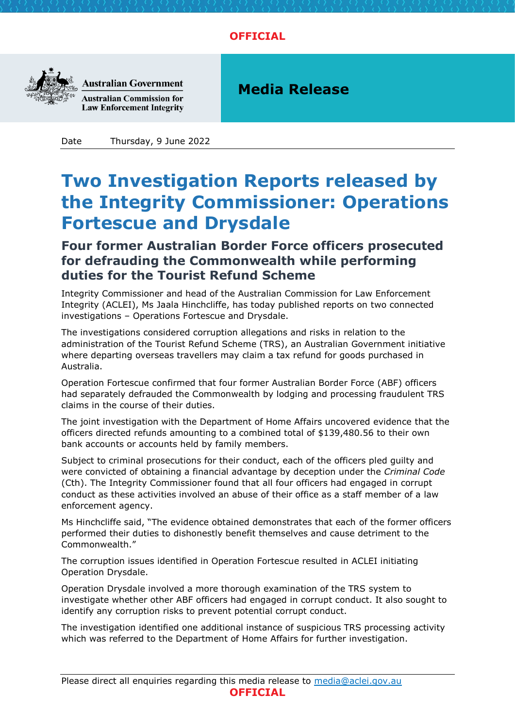## **OFFICIAL**



**Australian Government Australian Commission for Law Enforcement Integrity** 

**Media Release**

Date Thursday, 9 June 2022

## **Two Investigation Reports released by the Integrity Commissioner: Operations Fortescue and Drysdale**

## **Four former Australian Border Force officers prosecuted for defrauding the Commonwealth while performing duties for the Tourist Refund Scheme**

Integrity Commissioner and head of the Australian Commission for Law Enforcement Integrity (ACLEI), Ms Jaala Hinchcliffe, has today published reports on two connected investigations – Operations Fortescue and Drysdale.

The investigations considered corruption allegations and risks in relation to the administration of the Tourist Refund Scheme (TRS), an Australian Government initiative where departing overseas travellers may claim a tax refund for goods purchased in Australia.

Operation Fortescue confirmed that four former Australian Border Force (ABF) officers had separately defrauded the Commonwealth by lodging and processing fraudulent TRS claims in the course of their duties.

The joint investigation with the Department of Home Affairs uncovered evidence that the officers directed refunds amounting to a combined total of \$139,480.56 to their own bank accounts or accounts held by family members.

Subject to criminal prosecutions for their conduct, each of the officers pled guilty and were convicted of obtaining a financial advantage by deception under the *Criminal Code* (Cth). The Integrity Commissioner found that all four officers had engaged in corrupt conduct as these activities involved an abuse of their office as a staff member of a law enforcement agency.

Ms Hinchcliffe said, "The evidence obtained demonstrates that each of the former officers performed their duties to dishonestly benefit themselves and cause detriment to the Commonwealth."

The corruption issues identified in Operation Fortescue resulted in ACLEI initiating Operation Drysdale.

Operation Drysdale involved a more thorough examination of the TRS system to investigate whether other ABF officers had engaged in corrupt conduct. It also sought to identify any corruption risks to prevent potential corrupt conduct.

The investigation identified one additional instance of suspicious TRS processing activity which was referred to the Department of Home Affairs for further investigation.